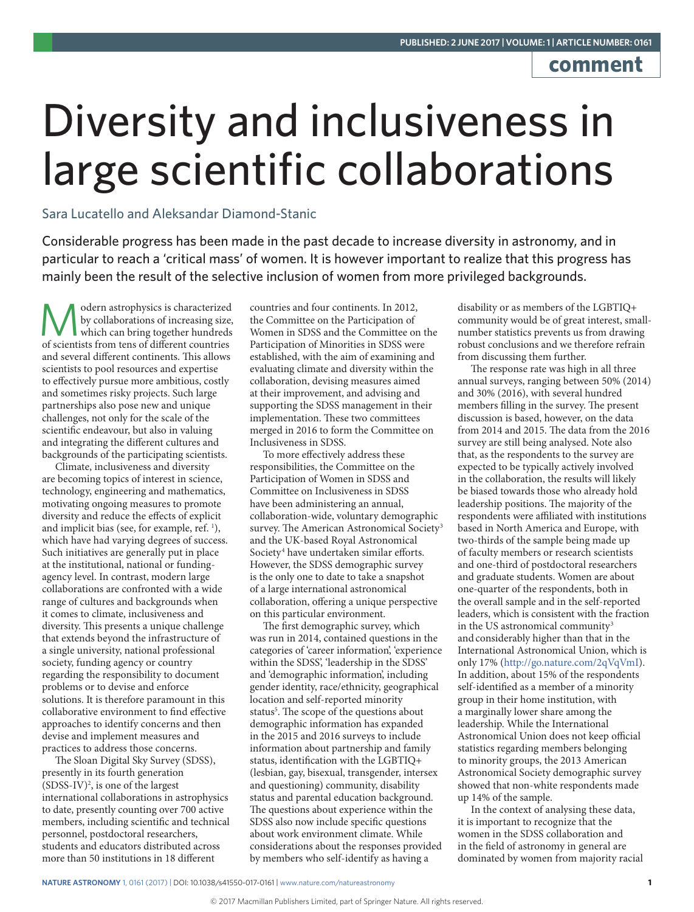## **comment**

## Diversity and inclusiveness in large scientific collaborations

Sara Lucatello and Aleksandar Diamond-Stanic

Considerable progress has been made in the past decade to increase diversity in astronomy, and in particular to reach a 'critical mass' of women. It is however important to realize that this progress has mainly been the result of the selective inclusion of women from more privileged backgrounds.

odern astrophysics is characterized by collaborations of increasing size, which can bring together hundreds of scientists from tens of different countries and several different continents. This allows scientists to pool resources and expertise to effectively pursue more ambitious, costly and sometimes risky projects. Such large partnerships also pose new and unique challenges, not only for the scale of the scientific endeavour, but also in valuing and integrating the different cultures and backgrounds of the participating scientists.

Climate, inclusiveness and diversity are becoming topics of interest in science, technology, engineering and mathematics, motivating ongoing measures to promote diversity and reduce the effects of explicit and implicit bias (see, for example, ref. 1), which have had varying degrees of success. Such initiatives are generally put in place at the institutional, national or fundingagency level. In contrast, modern large collaborations are confronted with a wide range of cultures and backgrounds when it comes to climate, inclusiveness and diversity. This presents a unique challenge that extends beyond the infrastructure of a single university, national professional society, funding agency or country regarding the responsibility to document problems or to devise and enforce solutions. It is therefore paramount in this collaborative environment to find effective approaches to identify concerns and then devise and implement measures and practices to address those concerns.

The Sloan Digital Sky Survey (SDSS), presently in its fourth generation  $(SDSS-IV)^2$ , is one of the largest international collaborations in astrophysics to date, presently counting over 700 active members, including scientific and technical personnel, postdoctoral researchers, students and educators distributed across more than 50 institutions in 18 different

countries and four continents. In 2012, the Committee on the Participation of Women in SDSS and the Committee on the Participation of Minorities in SDSS were established, with the aim of examining and evaluating climate and diversity within the collaboration, devising measures aimed at their improvement, and advising and supporting the SDSS management in their implementation. These two committees merged in 2016 to form the Committee on Inclusiveness in SDSS.

To more effectively address these responsibilities, the Committee on the Participation of Women in SDSS and Committee on Inclusiveness in SDSS have been administering an annual, collaboration-wide, voluntary demographic survey. The American Astronomical Society<sup>3</sup> and the UK-based Royal Astronomical Society<sup>4</sup> have undertaken similar efforts. However, the SDSS demographic survey is the only one to date to take a snapshot of a large international astronomical collaboration, offering a unique perspective on this particular environment.

The first demographic survey, which was run in 2014, contained questions in the categories of 'career information', 'experience within the SDSS', 'leadership in the SDSS' and 'demographic information', including gender identity, race/ethnicity, geographical location and self-reported minority status<sup>5</sup>. The scope of the questions about demographic information has expanded in the 2015 and 2016 surveys to include information about partnership and family status, identification with the LGBTIQ+ (lesbian, gay, bisexual, transgender, intersex and questioning) community, disability status and parental education background. The questions about experience within the SDSS also now include specific questions about work environment climate. While considerations about the responses provided by members who self-identify as having a

disability or as members of the LGBTIQ+ community would be of great interest, smallnumber statistics prevents us from drawing robust conclusions and we therefore refrain from discussing them further.

The response rate was high in all three annual surveys, ranging between 50% (2014) and 30% (2016), with several hundred members filling in the survey. The present discussion is based, however, on the data from 2014 and 2015. The data from the 2016 survey are still being analysed. Note also that, as the respondents to the survey are expected to be typically actively involved in the collaboration, the results will likely be biased towards those who already hold leadership positions. The majority of the respondents were affiliated with institutions based in North America and Europe, with two-thirds of the sample being made up of faculty members or research scientists and one-third of postdoctoral researchers and graduate students. Women are about one-quarter of the respondents, both in the overall sample and in the self-reported leaders, which is consistent with the fraction in the US astronomical community<sup>3</sup> and considerably higher than that in the International Astronomical Union, which is only 17% (http://go.nature.com/2qVqVmI). In addition, about 15% of the respondents self-identified as a member of a minority group in their home institution, with a marginally lower share among the leadership. While the International Astronomical Union does not keep official statistics regarding members belonging to minority groups, the 2013 American Astronomical Society demographic survey showed that non-white respondents made up 14% of the sample.

In the context of analysing these data, it is important to recognize that the women in the SDSS collaboration and in the field of astronomy in general are dominated by women from majority racial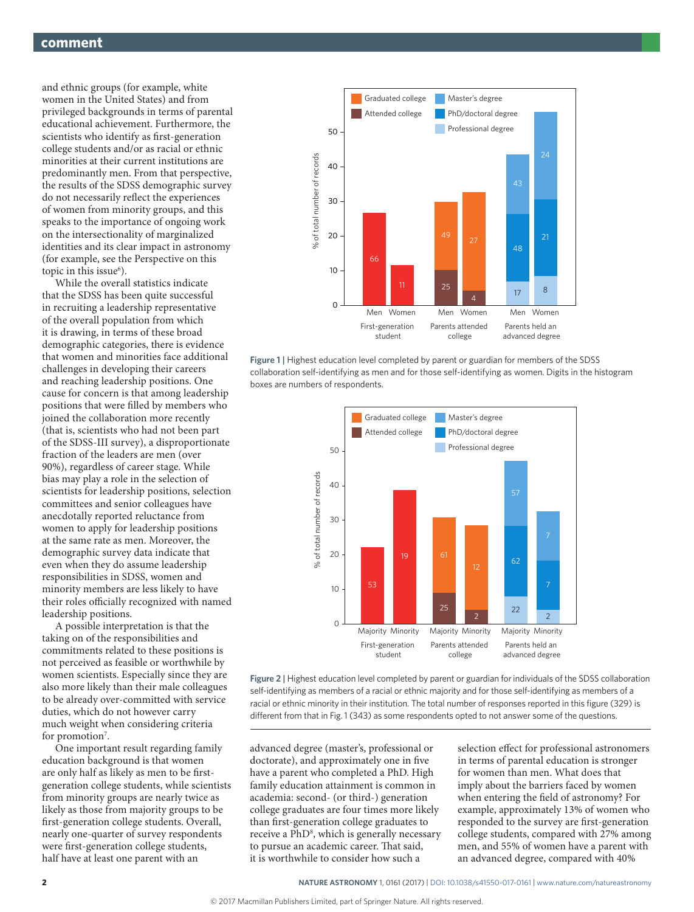and ethnic groups (for example, white women in the United States) and from privileged backgrounds in terms of parental educational achievement. Furthermore, the scientists who identify as first-generation college students and/or as racial or ethnic minorities at their current institutions are predominantly men. From that perspective, the results of the SDSS demographic survey do not necessarily reflect the experiences of women from minority groups, and this speaks to the importance of ongoing work on the intersectionality of marginalized identities and its clear impact in astronomy (for example, see the Perspective on this topic in this issue<sup>6</sup>).

While the overall statistics indicate that the SDSS has been quite successful in recruiting a leadership representative of the overall population from which it is drawing, in terms of these broad demographic categories, there is evidence that women and minorities face additional challenges in developing their careers and reaching leadership positions. One cause for concern is that among leadership positions that were filled by members who joined the collaboration more recently (that is, scientists who had not been part of the SDSS-III survey), a disproportionate fraction of the leaders are men (over 90%), regardless of career stage. While bias may play a role in the selection of scientists for leadership positions, selection committees and senior colleagues have anecdotally reported reluctance from women to apply for leadership positions at the same rate as men. Moreover, the demographic survey data indicate that even when they do assume leadership responsibilities in SDSS, women and minority members are less likely to have their roles officially recognized with named leadership positions.

A possible interpretation is that the taking on of the responsibilities and commitments related to these positions is not perceived as feasible or worthwhile by women scientists. Especially since they are also more likely than their male colleagues to be already over-committed with service duties, which do not however carry much weight when considering criteria for promotion<sup>7</sup>.

One important result regarding family education background is that women are only half as likely as men to be firstgeneration college students, while scientists from minority groups are nearly twice as likely as those from majority groups to be first-generation college students. Overall, nearly one-quarter of survey respondents were first-generation college students, half have at least one parent with an



**Figure 1 |** Highest education level completed by parent or guardian for members of the SDSS collaboration self-identifying as men and for those self-identifying as women. Digits in the histogram boxes are numbers of respondents.



**Figure 2 |** Highest education level completed by parent or guardian for individuals of the SDSS collaboration self-identifying as members of a racial or ethnic majority and for those self-identifying as members of a racial or ethnic minority in their institution. The total number of responses reported in this figure (329) is different from that in Fig. 1 (343) as some respondents opted to not answer some of the questions.

advanced degree (master's, professional or doctorate), and approximately one in five have a parent who completed a PhD. High family education attainment is common in academia: second- (or third-) generation college graduates are four times more likely than first-generation college graduates to receive a PhD<sup>8</sup>, which is generally necessary to pursue an academic career. That said, it is worthwhile to consider how such a

selection effect for professional astronomers in terms of parental education is stronger for women than men. What does that imply about the barriers faced by women when entering the field of astronomy? For example, approximately 13% of women who responded to the survey are first-generation college students, compared with 27% among men, and 55% of women have a parent with an advanced degree, compared with 40%